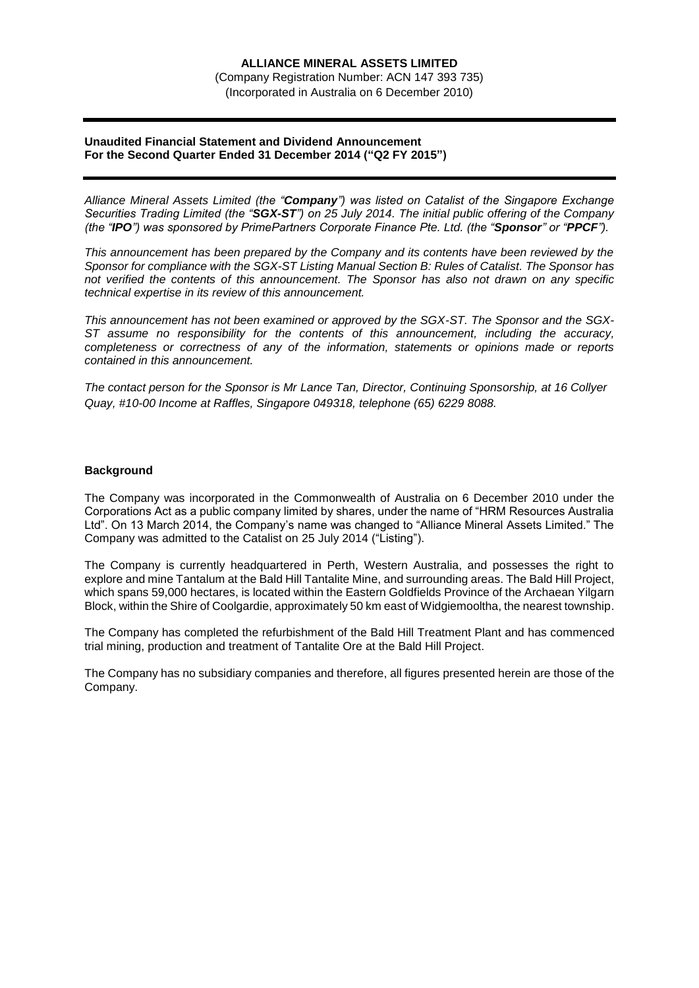(Company Registration Number: ACN 147 393 735) (Incorporated in Australia on 6 December 2010)

### **Unaudited Financial Statement and Dividend Announcement For the Second Quarter Ended 31 December 2014 ("Q2 FY 2015")**

*Alliance Mineral Assets Limited (the "Company") was listed on Catalist of the Singapore Exchange Securities Trading Limited (the "SGX-ST") on 25 July 2014. The initial public offering of the Company (the "IPO") was sponsored by PrimePartners Corporate Finance Pte. Ltd. (the "Sponsor" or "PPCF").*

*This announcement has been prepared by the Company and its contents have been reviewed by the Sponsor for compliance with the SGX-ST Listing Manual Section B: Rules of Catalist. The Sponsor has not verified the contents of this announcement. The Sponsor has also not drawn on any specific technical expertise in its review of this announcement.*

*This announcement has not been examined or approved by the SGX-ST. The Sponsor and the SGX-ST assume no responsibility for the contents of this announcement, including the accuracy, completeness or correctness of any of the information, statements or opinions made or reports contained in this announcement.*

*The contact person for the Sponsor is Mr Lance Tan, Director, Continuing Sponsorship, at 16 Collyer Quay, #10-00 Income at Raffles, Singapore 049318, telephone (65) 6229 8088.*

### **Background**

The Company was incorporated in the Commonwealth of Australia on 6 December 2010 under the Corporations Act as a public company limited by shares, under the name of "HRM Resources Australia Ltd". On 13 March 2014, the Company's name was changed to "Alliance Mineral Assets Limited." The Company was admitted to the Catalist on 25 July 2014 ("Listing").

The Company is currently headquartered in Perth, Western Australia, and possesses the right to explore and mine Tantalum at the Bald Hill Tantalite Mine, and surrounding areas. The Bald Hill Project, which spans 59,000 hectares, is located within the Eastern Goldfields Province of the Archaean Yilgarn Block, within the Shire of Coolgardie, approximately 50 km east of Widgiemooltha, the nearest township.

The Company has completed the refurbishment of the Bald Hill Treatment Plant and has commenced trial mining, production and treatment of Tantalite Ore at the Bald Hill Project.

The Company has no subsidiary companies and therefore, all figures presented herein are those of the Company.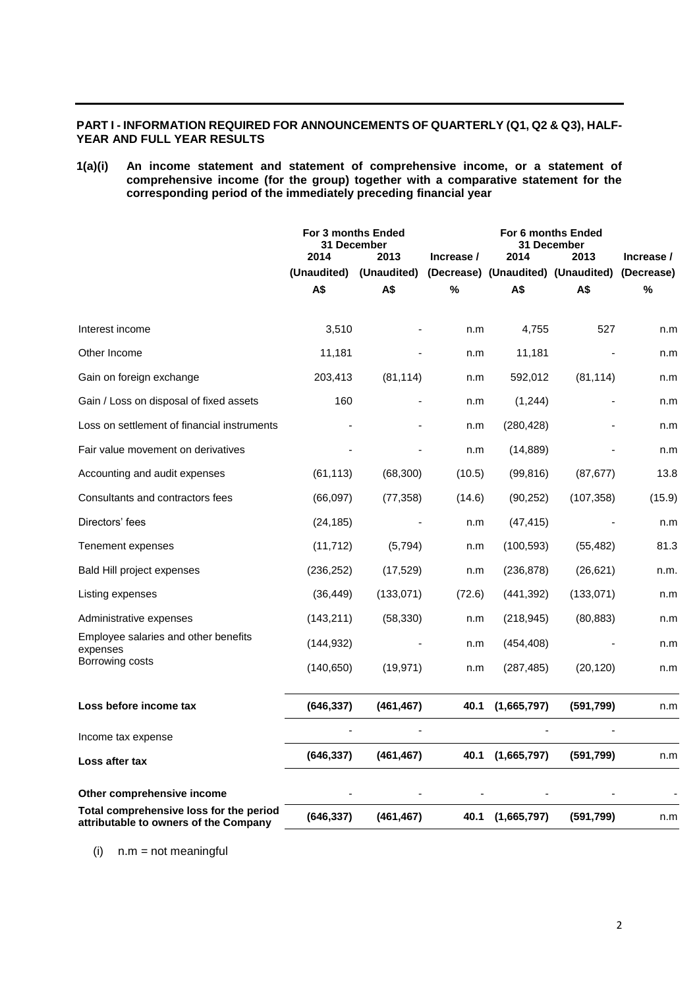## **PART I - INFORMATION REQUIRED FOR ANNOUNCEMENTS OF QUARTERLY (Q1, Q2 & Q3), HALF-YEAR AND FULL YEAR RESULTS**

## **1(a)(i) An income statement and statement of comprehensive income, or a statement of comprehensive income (for the group) together with a comparative statement for the corresponding period of the immediately preceding financial year**

|                                                                                  | For 3 months Ended<br>31 December<br>2014<br>2013 |             | For 6 months Ended<br><b>31 December</b><br>2014<br>2013<br>Increase / |                  |                                               | Increase / |
|----------------------------------------------------------------------------------|---------------------------------------------------|-------------|------------------------------------------------------------------------|------------------|-----------------------------------------------|------------|
|                                                                                  | (Unaudited)                                       | (Unaudited) |                                                                        |                  | (Decrease) (Unaudited) (Unaudited) (Decrease) |            |
|                                                                                  | A\$                                               | A\$         | %                                                                      | A\$              | А\$                                           | %          |
|                                                                                  |                                                   |             |                                                                        |                  |                                               |            |
| Interest income                                                                  | 3,510                                             |             | n.m                                                                    | 4,755            | 527                                           | n.m        |
| Other Income                                                                     | 11,181                                            |             | n.m                                                                    | 11,181           |                                               | n.m        |
| Gain on foreign exchange                                                         | 203,413                                           | (81, 114)   | n.m                                                                    | 592,012          | (81, 114)                                     | n.m        |
| Gain / Loss on disposal of fixed assets                                          | 160                                               |             | n.m                                                                    | (1,244)          |                                               | n.m        |
| Loss on settlement of financial instruments                                      |                                                   |             | n.m                                                                    | (280, 428)       |                                               | n.m        |
| Fair value movement on derivatives                                               |                                                   |             | n.m                                                                    | (14, 889)        |                                               | n.m        |
| Accounting and audit expenses                                                    | (61, 113)                                         | (68, 300)   | (10.5)                                                                 | (99, 816)        | (87, 677)                                     | 13.8       |
| Consultants and contractors fees                                                 | (66,097)                                          | (77, 358)   | (14.6)                                                                 | (90, 252)        | (107, 358)                                    | (15.9)     |
| Directors' fees                                                                  | (24, 185)                                         |             | n.m                                                                    | (47, 415)        |                                               | n.m        |
| Tenement expenses                                                                | (11, 712)                                         | (5,794)     | n.m                                                                    | (100, 593)       | (55, 482)                                     | 81.3       |
| Bald Hill project expenses                                                       | (236, 252)                                        | (17,529)    | n.m                                                                    | (236, 878)       | (26, 621)                                     | n.m.       |
| Listing expenses                                                                 | (36, 449)                                         | (133, 071)  | (72.6)                                                                 | (441, 392)       | (133,071)                                     | n.m        |
| Administrative expenses                                                          | (143, 211)                                        | (58, 330)   | n.m                                                                    | (218, 945)       | (80, 883)                                     | n.m        |
| Employee salaries and other benefits<br>expenses                                 | (144, 932)                                        |             | n.m                                                                    | (454, 408)       |                                               | n.m        |
| Borrowing costs                                                                  | (140, 650)                                        | (19, 971)   | n.m                                                                    | (287, 485)       | (20, 120)                                     | n.m        |
| Loss before income tax                                                           | (646, 337)                                        | (461, 467)  | 40.1                                                                   | (1,665,797)      | (591,799)                                     | n.m        |
| Income tax expense                                                               |                                                   |             |                                                                        |                  |                                               |            |
| Loss after tax                                                                   | (646, 337)                                        | (461, 467)  |                                                                        | 40.1 (1,665,797) | (591, 799)                                    | n.m        |
| Other comprehensive income                                                       |                                                   |             |                                                                        |                  |                                               |            |
| Total comprehensive loss for the period<br>attributable to owners of the Company | (646, 337)                                        | (461, 467)  | 40.1                                                                   | (1,665,797)      | (591,799)                                     | n.m        |

(i) n.m = not meaningful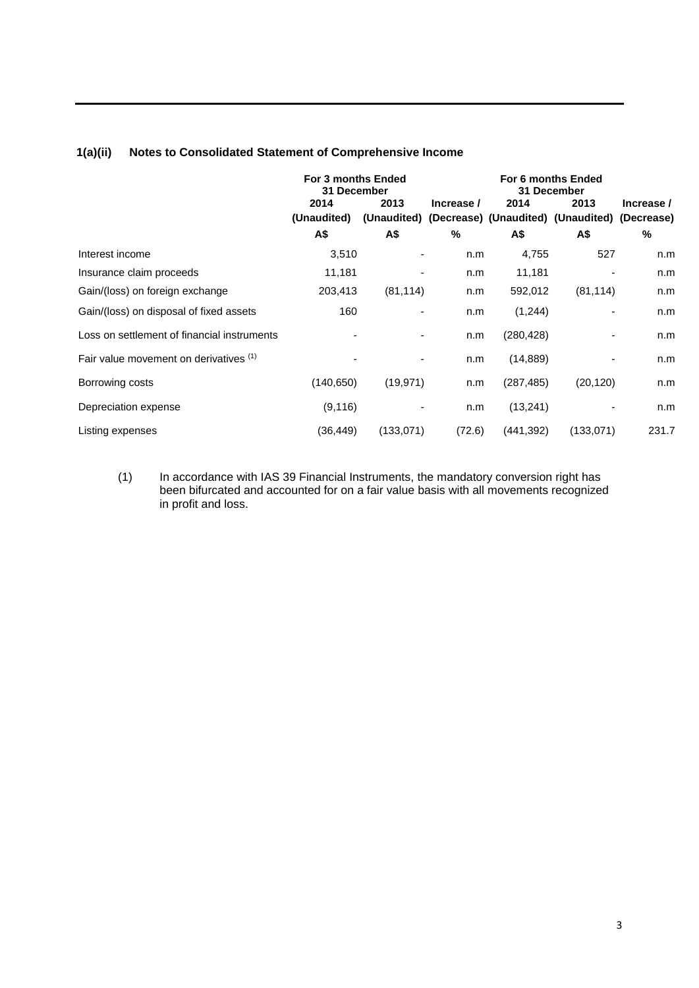# **1(a)(ii) Notes to Consolidated Statement of Comprehensive Income**

|                                             | For 3 months Ended<br>31 December |           | For 6 months Ended<br>31 December |            |                                                                  |            |
|---------------------------------------------|-----------------------------------|-----------|-----------------------------------|------------|------------------------------------------------------------------|------------|
|                                             | 2014                              | 2013      | Increase /                        | 2014       | 2013                                                             | Increase / |
|                                             | (Unaudited)<br>А\$                | A\$       | %                                 | A\$        | (Unaudited) (Decrease) (Unaudited) (Unaudited) (Decrease)<br>A\$ | %          |
| Interest income                             | 3,510                             |           | n.m                               | 4,755      | 527                                                              | n.m        |
| Insurance claim proceeds                    | 11,181                            |           | n.m                               | 11,181     |                                                                  | n.m        |
| Gain/(loss) on foreign exchange             | 203,413                           | (81, 114) | n.m                               | 592,012    | (81, 114)                                                        | n.m        |
| Gain/(loss) on disposal of fixed assets     | 160                               |           | n.m                               | (1,244)    |                                                                  | n.m        |
| Loss on settlement of financial instruments |                                   |           | n.m                               | (280, 428) |                                                                  | n.m        |
| Fair value movement on derivatives (1)      |                                   |           | n.m                               | (14, 889)  |                                                                  | n.m        |
| Borrowing costs                             | (140, 650)                        | (19, 971) | n.m                               | (287, 485) | (20, 120)                                                        | n.m        |
| Depreciation expense                        | (9, 116)                          |           | n.m                               | (13,241)   |                                                                  | n.m        |
| Listing expenses                            | (36, 449)                         | (133,071) | (72.6)                            | (441, 392) | (133,071)                                                        | 231.7      |

(1) In accordance with IAS 39 Financial Instruments, the mandatory conversion right has been bifurcated and accounted for on a fair value basis with all movements recognized in profit and loss.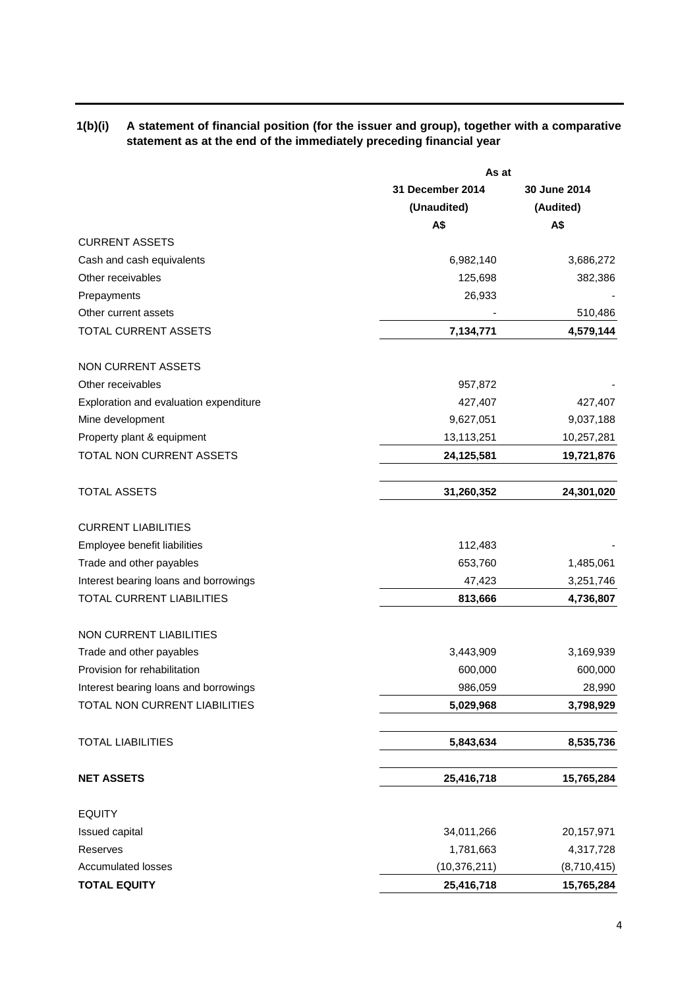## **1(b)(i) A statement of financial position (for the issuer and group), together with a comparative statement as at the end of the immediately preceding financial year**

|                                        |                  | As at        |  |  |  |
|----------------------------------------|------------------|--------------|--|--|--|
|                                        | 31 December 2014 | 30 June 2014 |  |  |  |
|                                        | (Unaudited)      | (Audited)    |  |  |  |
|                                        | A\$              | A\$          |  |  |  |
| <b>CURRENT ASSETS</b>                  |                  |              |  |  |  |
| Cash and cash equivalents              | 6,982,140        | 3,686,272    |  |  |  |
| Other receivables                      | 125,698          | 382,386      |  |  |  |
| Prepayments                            | 26,933           |              |  |  |  |
| Other current assets                   |                  | 510,486      |  |  |  |
| TOTAL CURRENT ASSETS                   | 7,134,771        | 4,579,144    |  |  |  |
| <b>NON CURRENT ASSETS</b>              |                  |              |  |  |  |
| Other receivables                      | 957,872          |              |  |  |  |
| Exploration and evaluation expenditure | 427,407          | 427,407      |  |  |  |
| Mine development                       | 9,627,051        | 9,037,188    |  |  |  |
| Property plant & equipment             | 13,113,251       | 10,257,281   |  |  |  |
| TOTAL NON CURRENT ASSETS               | 24,125,581       | 19,721,876   |  |  |  |
| <b>TOTAL ASSETS</b>                    | 31,260,352       | 24,301,020   |  |  |  |
| <b>CURRENT LIABILITIES</b>             |                  |              |  |  |  |
| Employee benefit liabilities           | 112,483          |              |  |  |  |
| Trade and other payables               | 653,760          | 1,485,061    |  |  |  |
| Interest bearing loans and borrowings  | 47,423           | 3,251,746    |  |  |  |
| TOTAL CURRENT LIABILITIES              | 813,666          | 4,736,807    |  |  |  |
| <b>NON CURRENT LIABILITIES</b>         |                  |              |  |  |  |
| Trade and other payables               | 3,443,909        | 3,169,939    |  |  |  |
| Provision for rehabilitation           | 600,000          | 600,000      |  |  |  |
| Interest bearing loans and borrowings  | 986,059          | 28,990       |  |  |  |
| TOTAL NON CURRENT LIABILITIES          | 5,029,968        | 3,798,929    |  |  |  |
| <b>TOTAL LIABILITIES</b>               | 5,843,634        | 8,535,736    |  |  |  |
| <b>NET ASSETS</b>                      | 25,416,718       | 15,765,284   |  |  |  |
| <b>EQUITY</b>                          |                  |              |  |  |  |
| Issued capital                         | 34,011,266       | 20,157,971   |  |  |  |
| Reserves                               | 1,781,663        | 4,317,728    |  |  |  |
| <b>Accumulated losses</b>              | (10, 376, 211)   | (8,710,415)  |  |  |  |
| <b>TOTAL EQUITY</b>                    | 25,416,718       | 15,765,284   |  |  |  |
|                                        |                  |              |  |  |  |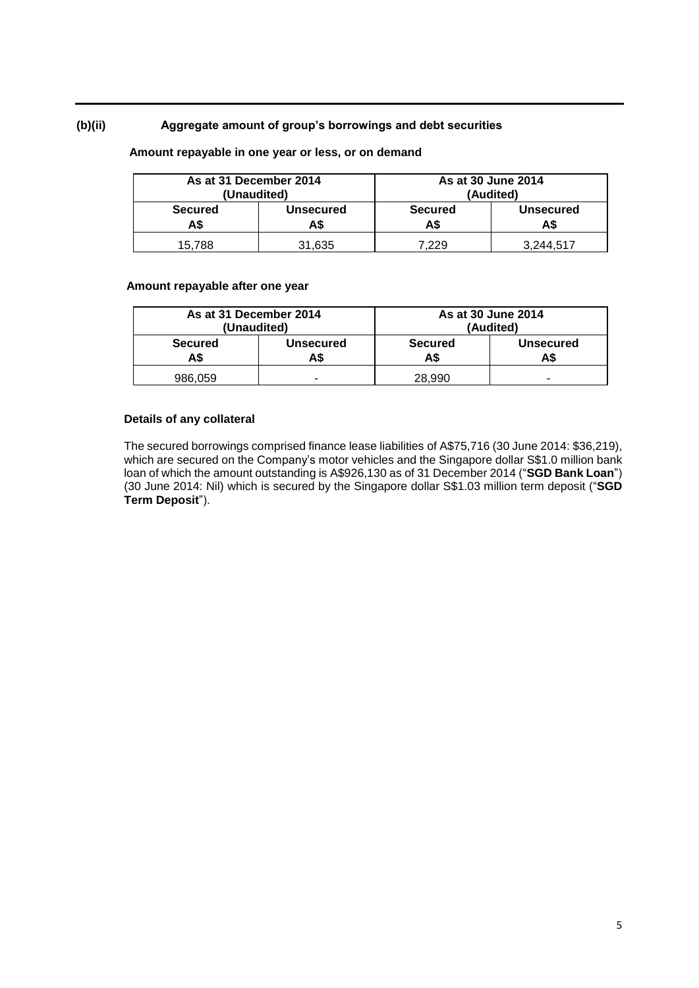## **(b)(ii) Aggregate amount of group's borrowings and debt securities**

## **Amount repayable in one year or less, or on demand**

| As at 31 December 2014<br>(Unaudited) |                  |                       | As at 30 June 2014<br>(Audited) |
|---------------------------------------|------------------|-----------------------|---------------------------------|
| <b>Secured</b><br>A\$                 | <b>Unsecured</b> | <b>Secured</b><br>A\$ | <b>Unsecured</b><br>A\$         |
| 15.788                                | 31,635           | 7.229                 | 3.244.517                       |

#### **Amount repayable after one year**

| As at 31 December 2014<br>(Unaudited) |                  | As at 30 June 2014<br>(Audited)                  |   |
|---------------------------------------|------------------|--------------------------------------------------|---|
| <b>Secured</b><br>A\$                 | Unsecured<br>AS. | <b>Secured</b><br><b>Unsecured</b><br>AS.<br>A\$ |   |
| 986,059                               | -                | 28,990                                           | - |

### **Details of any collateral**

The secured borrowings comprised finance lease liabilities of A\$75,716 (30 June 2014: \$36,219), which are secured on the Company's motor vehicles and the Singapore dollar S\$1.0 million bank loan of which the amount outstanding is A\$926,130 as of 31 December 2014 ("**SGD Bank Loan**") (30 June 2014: Nil) which is secured by the Singapore dollar S\$1.03 million term deposit ("**SGD Term Deposit**").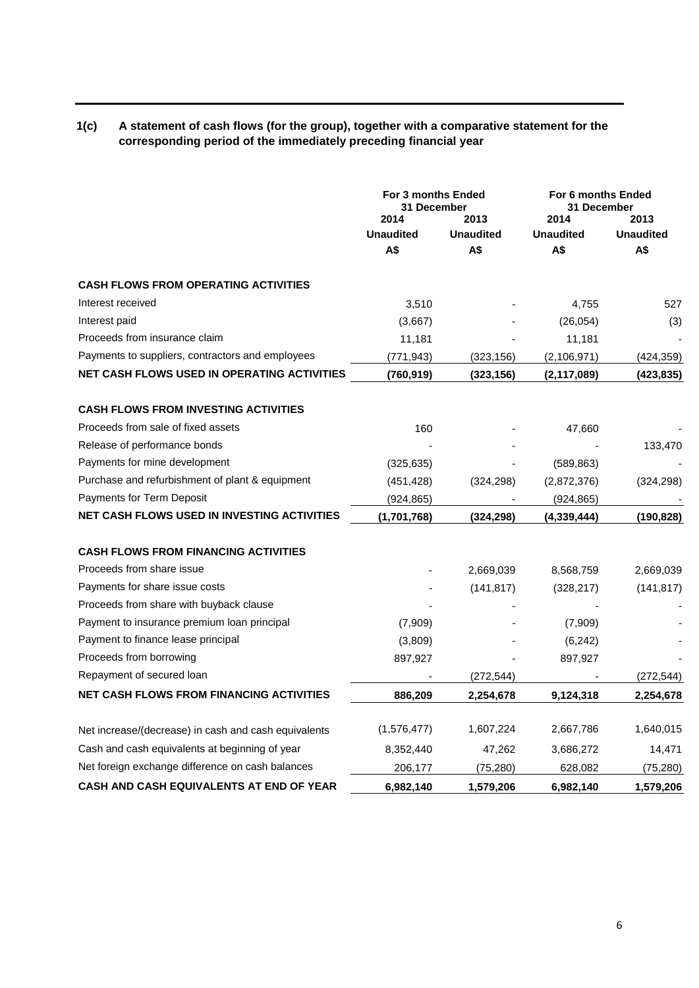## **1(c) A statement of cash flows (for the group), together with a comparative statement for the corresponding period of the immediately preceding financial year**

|                                                      | <b>For 3 months Ended</b><br><b>31 December</b> |                                 | For 6 months Ended<br>31 December |                                 |
|------------------------------------------------------|-------------------------------------------------|---------------------------------|-----------------------------------|---------------------------------|
|                                                      | 2014<br><b>Unaudited</b><br>A\$                 | 2013<br><b>Unaudited</b><br>A\$ | 2014<br><b>Unaudited</b><br>A\$   | 2013<br><b>Unaudited</b><br>A\$ |
| <b>CASH FLOWS FROM OPERATING ACTIVITIES</b>          |                                                 |                                 |                                   |                                 |
| Interest received                                    | 3,510                                           |                                 | 4,755                             | 527                             |
| Interest paid                                        | (3,667)                                         |                                 | (26, 054)                         | (3)                             |
| Proceeds from insurance claim                        | 11,181                                          |                                 | 11,181                            |                                 |
| Payments to suppliers, contractors and employees     | (771,943)                                       | (323, 156)                      | (2, 106, 971)                     | (424, 359)                      |
| NET CASH FLOWS USED IN OPERATING ACTIVITIES          | (760,919)                                       | (323, 156)                      | (2, 117, 089)                     | (423, 835)                      |
| <b>CASH FLOWS FROM INVESTING ACTIVITIES</b>          |                                                 |                                 |                                   |                                 |
| Proceeds from sale of fixed assets                   | 160                                             |                                 | 47,660                            |                                 |
| Release of performance bonds                         |                                                 |                                 |                                   | 133,470                         |
| Payments for mine development                        | (325, 635)                                      |                                 | (589, 863)                        |                                 |
| Purchase and refurbishment of plant & equipment      | (451,428)                                       | (324, 298)                      | (2,872,376)                       | (324, 298)                      |
| Payments for Term Deposit                            | (924, 865)                                      |                                 | (924,865)                         |                                 |
| NET CASH FLOWS USED IN INVESTING ACTIVITIES          | (1,701,768)                                     | (324, 298)                      | (4, 339, 444)                     | (190, 828)                      |
| <b>CASH FLOWS FROM FINANCING ACTIVITIES</b>          |                                                 |                                 |                                   |                                 |
| Proceeds from share issue                            |                                                 | 2,669,039                       | 8,568,759                         | 2,669,039                       |
| Payments for share issue costs                       |                                                 | (141, 817)                      | (328, 217)                        | (141, 817)                      |
| Proceeds from share with buyback clause              |                                                 |                                 |                                   |                                 |
| Payment to insurance premium loan principal          | (7,909)                                         |                                 | (7,909)                           |                                 |
| Payment to finance lease principal                   | (3,809)                                         |                                 | (6, 242)                          |                                 |
| Proceeds from borrowing                              | 897,927                                         |                                 | 897,927                           |                                 |
| Repayment of secured loan                            |                                                 | (272, 544)                      |                                   | (272, 544)                      |
| <b>NET CASH FLOWS FROM FINANCING ACTIVITIES</b>      | 886,209                                         | 2,254,678                       | 9,124,318                         | 2,254,678                       |
| Net increase/(decrease) in cash and cash equivalents | (1,576,477)                                     | 1,607,224                       | 2,667,786                         | 1,640,015                       |
| Cash and cash equivalents at beginning of year       | 8,352,440                                       | 47,262                          | 3,686,272                         | 14,471                          |
| Net foreign exchange difference on cash balances     | 206,177                                         | (75, 280)                       | 628,082                           | (75, 280)                       |
| <b>CASH AND CASH EQUIVALENTS AT END OF YEAR</b>      | 6,982,140                                       | 1,579,206                       | 6,982,140                         | 1,579,206                       |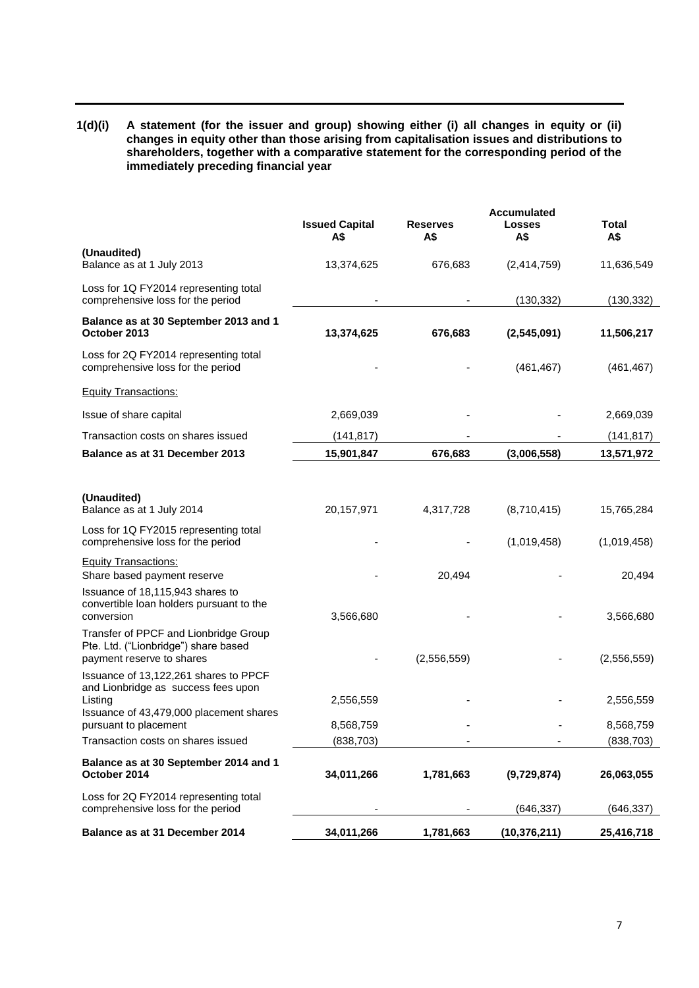**1(d)(i) A statement (for the issuer and group) showing either (i) all changes in equity or (ii) changes in equity other than those arising from capitalisation issues and distributions to shareholders, together with a comparative statement for the corresponding period of the immediately preceding financial year**

|                                                                                                            |                              |                        | <b>Accumulated</b>   |              |
|------------------------------------------------------------------------------------------------------------|------------------------------|------------------------|----------------------|--------------|
|                                                                                                            | <b>Issued Capital</b><br>A\$ | <b>Reserves</b><br>A\$ | <b>Losses</b><br>A\$ | Total<br>A\$ |
| (Unaudited)<br>Balance as at 1 July 2013                                                                   | 13,374,625                   | 676,683                | (2,414,759)          | 11,636,549   |
| Loss for 1Q FY2014 representing total<br>comprehensive loss for the period                                 |                              |                        | (130, 332)           | (130, 332)   |
| Balance as at 30 September 2013 and 1<br>October 2013                                                      | 13,374,625                   | 676,683                | (2,545,091)          | 11,506,217   |
| Loss for 2Q FY2014 representing total<br>comprehensive loss for the period                                 |                              |                        | (461, 467)           | (461, 467)   |
| <b>Equity Transactions:</b>                                                                                |                              |                        |                      |              |
| Issue of share capital                                                                                     | 2,669,039                    |                        |                      | 2,669,039    |
| Transaction costs on shares issued                                                                         | (141, 817)                   |                        |                      | (141, 817)   |
| Balance as at 31 December 2013                                                                             | 15,901,847                   | 676,683                | (3,006,558)          | 13,571,972   |
|                                                                                                            |                              |                        |                      |              |
| (Unaudited)<br>Balance as at 1 July 2014                                                                   | 20,157,971                   | 4,317,728              | (8,710,415)          | 15,765,284   |
| Loss for 1Q FY2015 representing total<br>comprehensive loss for the period                                 |                              |                        | (1,019,458)          | (1,019,458)  |
| <b>Equity Transactions:</b><br>Share based payment reserve                                                 |                              | 20,494                 |                      | 20,494       |
| Issuance of 18,115,943 shares to<br>convertible loan holders pursuant to the<br>conversion                 | 3,566,680                    |                        |                      | 3,566,680    |
| Transfer of PPCF and Lionbridge Group<br>Pte. Ltd. ("Lionbridge") share based<br>payment reserve to shares |                              | (2,556,559)            |                      | (2,556,559)  |
| Issuance of 13,122,261 shares to PPCF<br>and Lionbridge as success fees upon<br>Listing                    | 2,556,559                    |                        |                      | 2,556,559    |
| Issuance of 43,479,000 placement shares<br>pursuant to placement                                           | 8,568,759                    |                        |                      | 8,568,759    |
| Transaction costs on shares issued                                                                         | (838, 703)                   |                        |                      | (838, 703)   |
| Balance as at 30 September 2014 and 1<br>October 2014                                                      | 34,011,266                   | 1,781,663              | (9,729,874)          | 26,063,055   |
| Loss for 2Q FY2014 representing total<br>comprehensive loss for the period                                 |                              |                        | (646, 337)           | (646,337)    |
| Balance as at 31 December 2014                                                                             | 34,011,266                   | 1,781,663              | (10, 376, 211)       | 25,416,718   |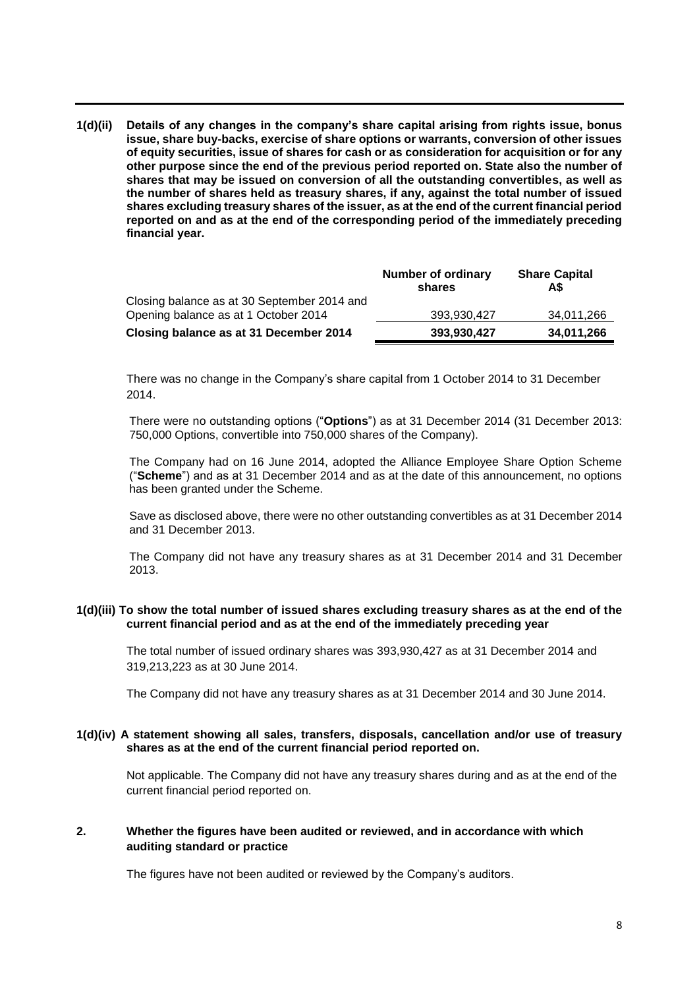**1(d)(ii) Details of any changes in the company's share capital arising from rights issue, bonus issue, share buy-backs, exercise of share options or warrants, conversion of other issues of equity securities, issue of shares for cash or as consideration for acquisition or for any other purpose since the end of the previous period reported on. State also the number of shares that may be issued on conversion of all the outstanding convertibles, as well as the number of shares held as treasury shares, if any, against the total number of issued shares excluding treasury shares of the issuer, as at the end of the current financial period reported on and as at the end of the corresponding period of the immediately preceding financial year.**

|                                             | Number of ordinary<br>shares | <b>Share Capital</b><br>A\$ |
|---------------------------------------------|------------------------------|-----------------------------|
| Closing balance as at 30 September 2014 and |                              |                             |
| Opening balance as at 1 October 2014        | 393.930.427                  | 34,011,266                  |
| Closing balance as at 31 December 2014      | 393.930.427                  | 34,011,266                  |

There was no change in the Company's share capital from 1 October 2014 to 31 December 2014.

There were no outstanding options ("**Options**") as at 31 December 2014 (31 December 2013: 750,000 Options, convertible into 750,000 shares of the Company).

The Company had on 16 June 2014, adopted the Alliance Employee Share Option Scheme ("**Scheme**") and as at 31 December 2014 and as at the date of this announcement, no options has been granted under the Scheme.

Save as disclosed above, there were no other outstanding convertibles as at 31 December 2014 and 31 December 2013.

The Company did not have any treasury shares as at 31 December 2014 and 31 December 2013.

## **1(d)(iii) To show the total number of issued shares excluding treasury shares as at the end of the current financial period and as at the end of the immediately preceding year**

The total number of issued ordinary shares was 393,930,427 as at 31 December 2014 and 319,213,223 as at 30 June 2014.

The Company did not have any treasury shares as at 31 December 2014 and 30 June 2014.

### **1(d)(iv) A statement showing all sales, transfers, disposals, cancellation and/or use of treasury shares as at the end of the current financial period reported on.**

Not applicable. The Company did not have any treasury shares during and as at the end of the current financial period reported on.

## **2. Whether the figures have been audited or reviewed, and in accordance with which auditing standard or practice**

The figures have not been audited or reviewed by the Company's auditors.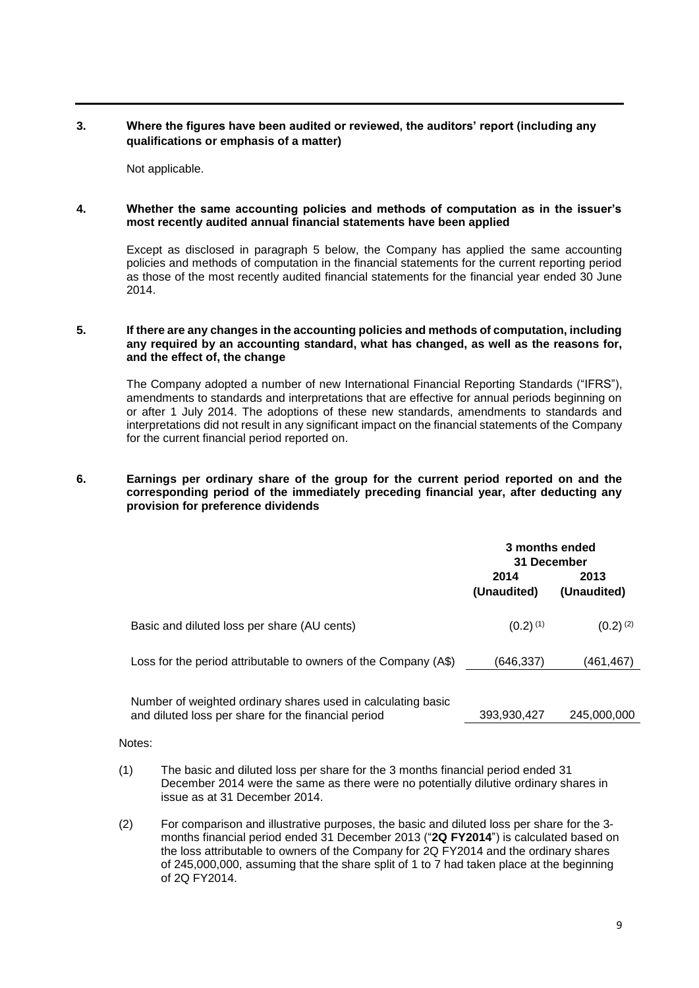## **3. Where the figures have been audited or reviewed, the auditors' report (including any qualifications or emphasis of a matter)**

Not applicable.

### **4. Whether the same accounting policies and methods of computation as in the issuer's most recently audited annual financial statements have been applied**

Except as disclosed in paragraph 5 below, the Company has applied the same accounting policies and methods of computation in the financial statements for the current reporting period as those of the most recently audited financial statements for the financial year ended 30 June 2014.

## **5. If there are any changes in the accounting policies and methods of computation, including any required by an accounting standard, what has changed, as well as the reasons for, and the effect of, the change**

The Company adopted a number of new International Financial Reporting Standards ("IFRS"), amendments to standards and interpretations that are effective for annual periods beginning on or after 1 July 2014. The adoptions of these new standards, amendments to standards and interpretations did not result in any significant impact on the financial statements of the Company for the current financial period reported on.

## **6. Earnings per ordinary share of the group for the current period reported on and the corresponding period of the immediately preceding financial year, after deducting any provision for preference dividends**

|                                                                                                                     | 3 months ended<br>31 December |                     |
|---------------------------------------------------------------------------------------------------------------------|-------------------------------|---------------------|
|                                                                                                                     | 2014<br>(Unaudited)           | 2013<br>(Unaudited) |
| Basic and diluted loss per share (AU cents)                                                                         | $(0.2)$ <sup>(1)</sup>        | $(0.2)^{(2)}$       |
| Loss for the period attributable to owners of the Company (A\$)                                                     | (646, 337)                    | (461,467)           |
| Number of weighted ordinary shares used in calculating basic<br>and diluted loss per share for the financial period | 393,930,427                   | 245,000,000         |

Notes:

- (1) The basic and diluted loss per share for the 3 months financial period ended 31 December 2014 were the same as there were no potentially dilutive ordinary shares in issue as at 31 December 2014.
- (2) For comparison and illustrative purposes, the basic and diluted loss per share for the 3 months financial period ended 31 December 2013 ("**2Q FY2014**") is calculated based on the loss attributable to owners of the Company for 2Q FY2014 and the ordinary shares of 245,000,000, assuming that the share split of 1 to 7 had taken place at the beginning of 2Q FY2014.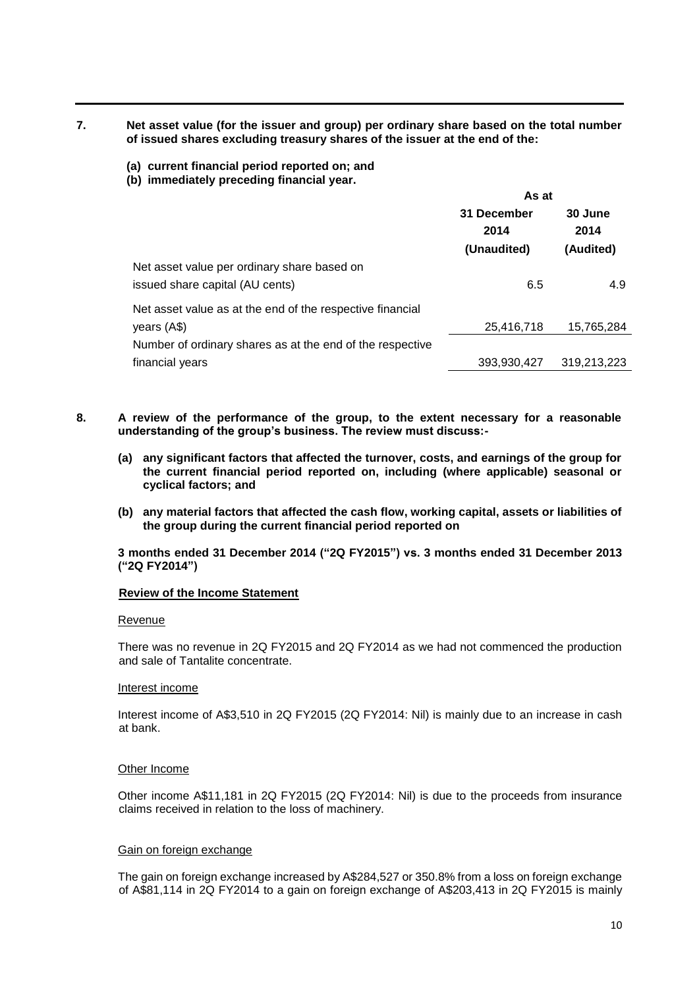**7. Net asset value (for the issuer and group) per ordinary share based on the total number of issued shares excluding treasury shares of the issuer at the end of the:**

- **(a) current financial period reported on; and**
- **(b) immediately preceding financial year.**

|                                                           | As at       |             |  |
|-----------------------------------------------------------|-------------|-------------|--|
|                                                           | 31 December | 30 June     |  |
|                                                           | 2014        | 2014        |  |
|                                                           | (Unaudited) | (Audited)   |  |
| Net asset value per ordinary share based on               |             |             |  |
| issued share capital (AU cents)                           | 6.5         | 4.9         |  |
| Net asset value as at the end of the respective financial |             |             |  |
| years (A\$)                                               | 25,416,718  | 15,765,284  |  |
| Number of ordinary shares as at the end of the respective |             |             |  |
| financial years                                           | 393,930,427 | 319,213,223 |  |

- **8. A review of the performance of the group, to the extent necessary for a reasonable understanding of the group's business. The review must discuss:-**
	- **(a) any significant factors that affected the turnover, costs, and earnings of the group for the current financial period reported on, including (where applicable) seasonal or cyclical factors; and**
	- **(b) any material factors that affected the cash flow, working capital, assets or liabilities of the group during the current financial period reported on**

**3 months ended 31 December 2014 ("2Q FY2015") vs. 3 months ended 31 December 2013 ("2Q FY2014")**

### **Review of the Income Statement**

#### Revenue

There was no revenue in 2Q FY2015 and 2Q FY2014 as we had not commenced the production and sale of Tantalite concentrate.

#### Interest income

Interest income of A\$3,510 in 2Q FY2015 (2Q FY2014: Nil) is mainly due to an increase in cash at bank.

### Other Income

Other income A\$11,181 in 2Q FY2015 (2Q FY2014: Nil) is due to the proceeds from insurance claims received in relation to the loss of machinery.

#### Gain on foreign exchange

The gain on foreign exchange increased by A\$284,527 or 350.8% from a loss on foreign exchange of A\$81,114 in 2Q FY2014 to a gain on foreign exchange of A\$203,413 in 2Q FY2015 is mainly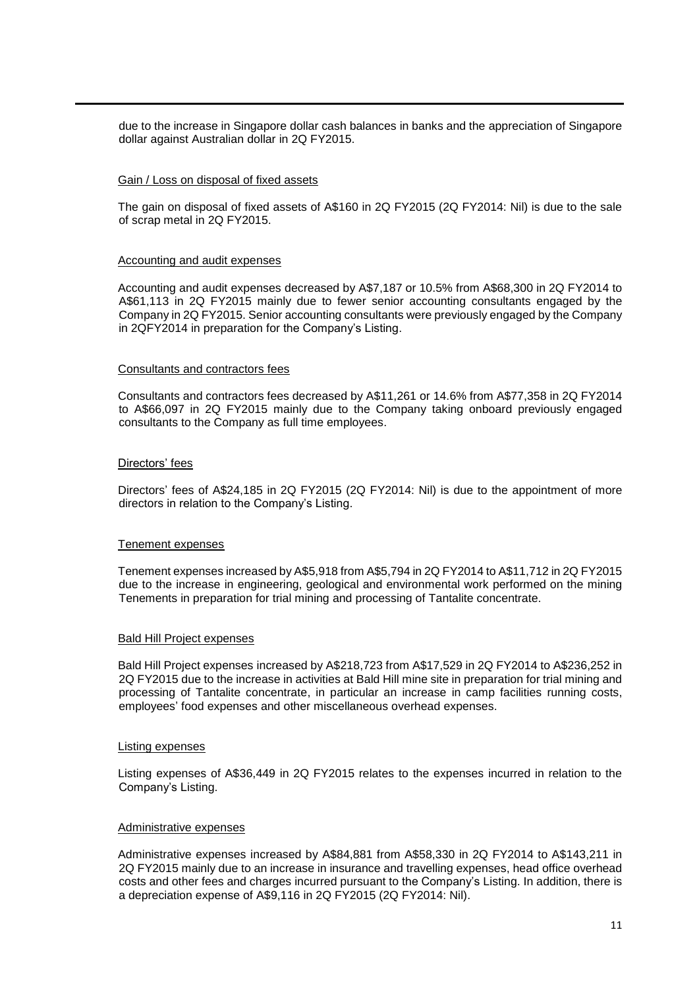due to the increase in Singapore dollar cash balances in banks and the appreciation of Singapore dollar against Australian dollar in 2Q FY2015.

#### Gain / Loss on disposal of fixed assets

The gain on disposal of fixed assets of A\$160 in 2Q FY2015 (2Q FY2014: Nil) is due to the sale of scrap metal in 2Q FY2015.

#### Accounting and audit expenses

Accounting and audit expenses decreased by A\$7,187 or 10.5% from A\$68,300 in 2Q FY2014 to A\$61,113 in 2Q FY2015 mainly due to fewer senior accounting consultants engaged by the Company in 2Q FY2015. Senior accounting consultants were previously engaged by the Company in 2QFY2014 in preparation for the Company's Listing.

#### Consultants and contractors fees

Consultants and contractors fees decreased by A\$11,261 or 14.6% from A\$77,358 in 2Q FY2014 to A\$66,097 in 2Q FY2015 mainly due to the Company taking onboard previously engaged consultants to the Company as full time employees.

#### Directors' fees

Directors' fees of A\$24,185 in 2Q FY2015 (2Q FY2014: Nil) is due to the appointment of more directors in relation to the Company's Listing.

### Tenement expenses

Tenement expenses increased by A\$5,918 from A\$5,794 in 2Q FY2014 to A\$11,712 in 2Q FY2015 due to the increase in engineering, geological and environmental work performed on the mining Tenements in preparation for trial mining and processing of Tantalite concentrate.

#### Bald Hill Project expenses

Bald Hill Project expenses increased by A\$218,723 from A\$17,529 in 2Q FY2014 to A\$236,252 in 2Q FY2015 due to the increase in activities at Bald Hill mine site in preparation for trial mining and processing of Tantalite concentrate, in particular an increase in camp facilities running costs, employees' food expenses and other miscellaneous overhead expenses.

#### Listing expenses

Listing expenses of A\$36,449 in 2Q FY2015 relates to the expenses incurred in relation to the Company's Listing.

#### Administrative expenses

Administrative expenses increased by A\$84,881 from A\$58,330 in 2Q FY2014 to A\$143,211 in 2Q FY2015 mainly due to an increase in insurance and travelling expenses, head office overhead costs and other fees and charges incurred pursuant to the Company's Listing. In addition, there is a depreciation expense of A\$9,116 in 2Q FY2015 (2Q FY2014: Nil).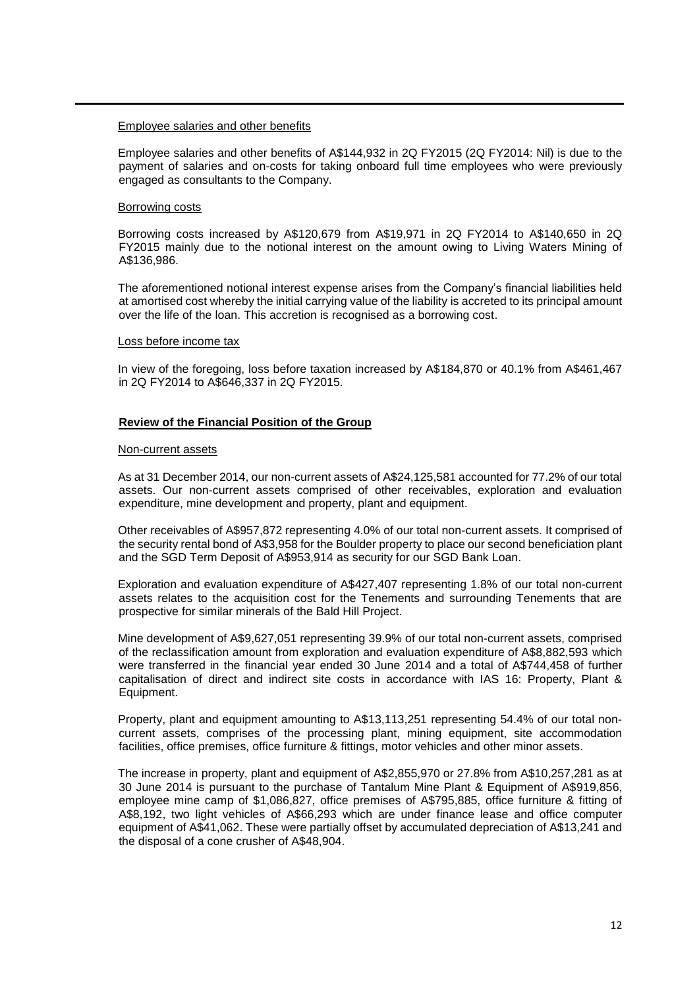#### Employee salaries and other benefits

Employee salaries and other benefits of A\$144,932 in 2Q FY2015 (2Q FY2014: Nil) is due to the payment of salaries and on-costs for taking onboard full time employees who were previously engaged as consultants to the Company.

#### Borrowing costs

Borrowing costs increased by A\$120,679 from A\$19,971 in 2Q FY2014 to A\$140,650 in 2Q FY2015 mainly due to the notional interest on the amount owing to Living Waters Mining of A\$136,986.

The aforementioned notional interest expense arises from the Company's financial liabilities held at amortised cost whereby the initial carrying value of the liability is accreted to its principal amount over the life of the loan. This accretion is recognised as a borrowing cost.

#### Loss before income tax

In view of the foregoing, loss before taxation increased by A\$184,870 or 40.1% from A\$461,467 in 2Q FY2014 to A\$646,337 in 2Q FY2015.

### **Review of the Financial Position of the Group**

#### Non-current assets

As at 31 December 2014, our non-current assets of A\$24,125,581 accounted for 77.2% of our total assets. Our non-current assets comprised of other receivables, exploration and evaluation expenditure, mine development and property, plant and equipment.

Other receivables of A\$957,872 representing 4.0% of our total non-current assets. It comprised of the security rental bond of A\$3,958 for the Boulder property to place our second beneficiation plant and the SGD Term Deposit of A\$953,914 as security for our SGD Bank Loan.

Exploration and evaluation expenditure of A\$427,407 representing 1.8% of our total non-current assets relates to the acquisition cost for the Tenements and surrounding Tenements that are prospective for similar minerals of the Bald Hill Project.

Mine development of A\$9,627,051 representing 39.9% of our total non-current assets, comprised of the reclassification amount from exploration and evaluation expenditure of A\$8,882,593 which were transferred in the financial year ended 30 June 2014 and a total of A\$744,458 of further capitalisation of direct and indirect site costs in accordance with IAS 16: Property, Plant & Equipment.

Property, plant and equipment amounting to A\$13,113,251 representing 54.4% of our total noncurrent assets, comprises of the processing plant, mining equipment, site accommodation facilities, office premises, office furniture & fittings, motor vehicles and other minor assets.

The increase in property, plant and equipment of A\$2,855,970 or 27.8% from A\$10,257,281 as at 30 June 2014 is pursuant to the purchase of Tantalum Mine Plant & Equipment of A\$919,856, employee mine camp of \$1,086,827, office premises of A\$795,885, office furniture & fitting of A\$8,192, two light vehicles of A\$66,293 which are under finance lease and office computer equipment of A\$41,062. These were partially offset by accumulated depreciation of A\$13,241 and the disposal of a cone crusher of A\$48,904.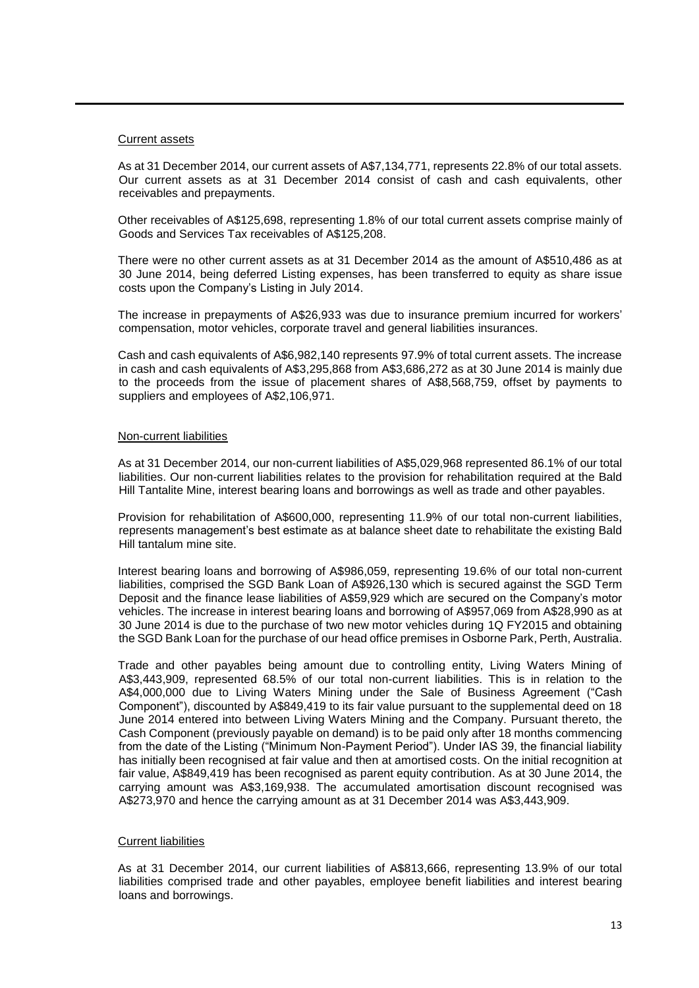### Current assets

As at 31 December 2014, our current assets of A\$7,134,771, represents 22.8% of our total assets. Our current assets as at 31 December 2014 consist of cash and cash equivalents, other receivables and prepayments.

Other receivables of A\$125,698, representing 1.8% of our total current assets comprise mainly of Goods and Services Tax receivables of A\$125,208.

There were no other current assets as at 31 December 2014 as the amount of A\$510,486 as at 30 June 2014, being deferred Listing expenses, has been transferred to equity as share issue costs upon the Company's Listing in July 2014.

The increase in prepayments of A\$26,933 was due to insurance premium incurred for workers' compensation, motor vehicles, corporate travel and general liabilities insurances.

Cash and cash equivalents of A\$6,982,140 represents 97.9% of total current assets. The increase in cash and cash equivalents of A\$3,295,868 from A\$3,686,272 as at 30 June 2014 is mainly due to the proceeds from the issue of placement shares of A\$8,568,759, offset by payments to suppliers and employees of A\$2,106,971.

## Non-current liabilities

As at 31 December 2014, our non-current liabilities of A\$5,029,968 represented 86.1% of our total liabilities. Our non-current liabilities relates to the provision for rehabilitation required at the Bald Hill Tantalite Mine, interest bearing loans and borrowings as well as trade and other payables.

Provision for rehabilitation of A\$600,000, representing 11.9% of our total non-current liabilities, represents management's best estimate as at balance sheet date to rehabilitate the existing Bald Hill tantalum mine site.

Interest bearing loans and borrowing of A\$986,059, representing 19.6% of our total non-current liabilities, comprised the SGD Bank Loan of A\$926,130 which is secured against the SGD Term Deposit and the finance lease liabilities of A\$59,929 which are secured on the Company's motor vehicles. The increase in interest bearing loans and borrowing of A\$957,069 from A\$28,990 as at 30 June 2014 is due to the purchase of two new motor vehicles during 1Q FY2015 and obtaining the SGD Bank Loan for the purchase of our head office premises in Osborne Park, Perth, Australia.

Trade and other payables being amount due to controlling entity, Living Waters Mining of A\$3,443,909, represented 68.5% of our total non-current liabilities. This is in relation to the A\$4,000,000 due to Living Waters Mining under the Sale of Business Agreement ("Cash Component"), discounted by A\$849,419 to its fair value pursuant to the supplemental deed on 18 June 2014 entered into between Living Waters Mining and the Company. Pursuant thereto, the Cash Component (previously payable on demand) is to be paid only after 18 months commencing from the date of the Listing ("Minimum Non-Payment Period"). Under IAS 39, the financial liability has initially been recognised at fair value and then at amortised costs. On the initial recognition at fair value, A\$849,419 has been recognised as parent equity contribution. As at 30 June 2014, the carrying amount was A\$3,169,938. The accumulated amortisation discount recognised was A\$273,970 and hence the carrying amount as at 31 December 2014 was A\$3,443,909.

### Current liabilities

As at 31 December 2014, our current liabilities of A\$813,666, representing 13.9% of our total liabilities comprised trade and other payables, employee benefit liabilities and interest bearing loans and borrowings.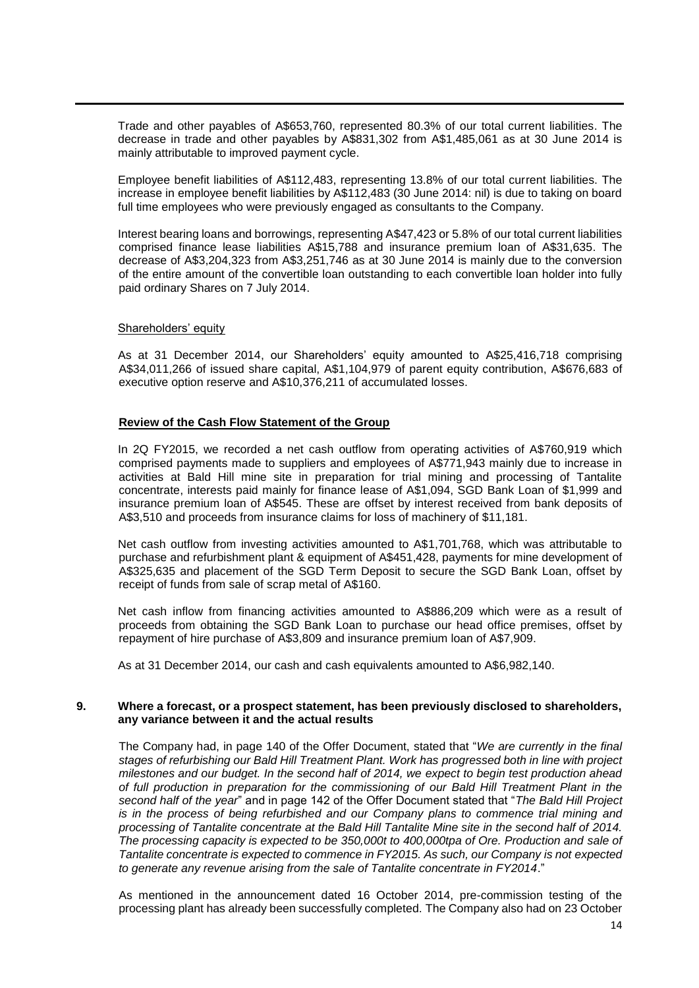Trade and other payables of A\$653,760, represented 80.3% of our total current liabilities. The decrease in trade and other payables by A\$831,302 from A\$1,485,061 as at 30 June 2014 is mainly attributable to improved payment cycle.

Employee benefit liabilities of A\$112,483, representing 13.8% of our total current liabilities. The increase in employee benefit liabilities by A\$112,483 (30 June 2014: nil) is due to taking on board full time employees who were previously engaged as consultants to the Company.

Interest bearing loans and borrowings, representing A\$47,423 or 5.8% of our total current liabilities comprised finance lease liabilities A\$15,788 and insurance premium loan of A\$31,635. The decrease of A\$3,204,323 from A\$3,251,746 as at 30 June 2014 is mainly due to the conversion of the entire amount of the convertible loan outstanding to each convertible loan holder into fully paid ordinary Shares on 7 July 2014.

### Shareholders' equity

As at 31 December 2014, our Shareholders' equity amounted to A\$25,416,718 comprising A\$34,011,266 of issued share capital, A\$1,104,979 of parent equity contribution, A\$676,683 of executive option reserve and A\$10,376,211 of accumulated losses.

#### **Review of the Cash Flow Statement of the Group**

In 2Q FY2015, we recorded a net cash outflow from operating activities of A\$760,919 which comprised payments made to suppliers and employees of A\$771,943 mainly due to increase in activities at Bald Hill mine site in preparation for trial mining and processing of Tantalite concentrate, interests paid mainly for finance lease of A\$1,094, SGD Bank Loan of \$1,999 and insurance premium loan of A\$545. These are offset by interest received from bank deposits of A\$3,510 and proceeds from insurance claims for loss of machinery of \$11,181.

Net cash outflow from investing activities amounted to A\$1,701,768, which was attributable to purchase and refurbishment plant & equipment of A\$451,428, payments for mine development of A\$325,635 and placement of the SGD Term Deposit to secure the SGD Bank Loan, offset by receipt of funds from sale of scrap metal of A\$160.

Net cash inflow from financing activities amounted to A\$886,209 which were as a result of proceeds from obtaining the SGD Bank Loan to purchase our head office premises, offset by repayment of hire purchase of A\$3,809 and insurance premium loan of A\$7,909.

As at 31 December 2014, our cash and cash equivalents amounted to A\$6,982,140.

## **9. Where a forecast, or a prospect statement, has been previously disclosed to shareholders, any variance between it and the actual results**

The Company had, in page 140 of the Offer Document, stated that "*We are currently in the final stages of refurbishing our Bald Hill Treatment Plant. Work has progressed both in line with project milestones and our budget. In the second half of 2014, we expect to begin test production ahead of full production in preparation for the commissioning of our Bald Hill Treatment Plant in the second half of the year*" and in page 142 of the Offer Document stated that "*The Bald Hill Project is in the process of being refurbished and our Company plans to commence trial mining and processing of Tantalite concentrate at the Bald Hill Tantalite Mine site in the second half of 2014. The processing capacity is expected to be 350,000t to 400,000tpa of Ore. Production and sale of Tantalite concentrate is expected to commence in FY2015. As such, our Company is not expected to generate any revenue arising from the sale of Tantalite concentrate in FY2014*."

As mentioned in the announcement dated 16 October 2014, pre-commission testing of the processing plant has already been successfully completed. The Company also had on 23 October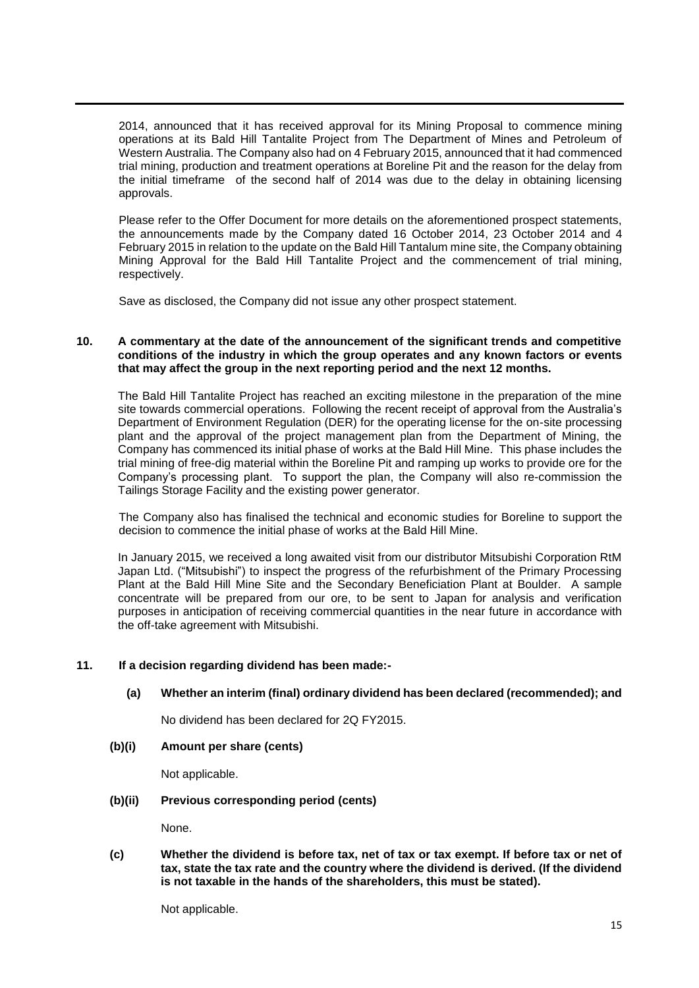2014, announced that it has received approval for its Mining Proposal to commence mining operations at its Bald Hill Tantalite Project from The Department of Mines and Petroleum of Western Australia. The Company also had on 4 February 2015, announced that it had commenced trial mining, production and treatment operations at Boreline Pit and the reason for the delay from the initial timeframe of the second half of 2014 was due to the delay in obtaining licensing approvals.

Please refer to the Offer Document for more details on the aforementioned prospect statements, the announcements made by the Company dated 16 October 2014, 23 October 2014 and 4 February 2015 in relation to the update on the Bald Hill Tantalum mine site, the Company obtaining Mining Approval for the Bald Hill Tantalite Project and the commencement of trial mining, respectively.

Save as disclosed, the Company did not issue any other prospect statement.

### **10. A commentary at the date of the announcement of the significant trends and competitive conditions of the industry in which the group operates and any known factors or events that may affect the group in the next reporting period and the next 12 months.**

The Bald Hill Tantalite Project has reached an exciting milestone in the preparation of the mine site towards commercial operations. Following the recent receipt of approval from the Australia's Department of Environment Regulation (DER) for the operating license for the on-site processing plant and the approval of the project management plan from the Department of Mining, the Company has commenced its initial phase of works at the Bald Hill Mine. This phase includes the trial mining of free-dig material within the Boreline Pit and ramping up works to provide ore for the Company's processing plant. To support the plan, the Company will also re-commission the Tailings Storage Facility and the existing power generator.

The Company also has finalised the technical and economic studies for Boreline to support the decision to commence the initial phase of works at the Bald Hill Mine.

In January 2015, we received a long awaited visit from our distributor Mitsubishi Corporation RtM Japan Ltd. ("Mitsubishi") to inspect the progress of the refurbishment of the Primary Processing Plant at the Bald Hill Mine Site and the Secondary Beneficiation Plant at Boulder. A sample concentrate will be prepared from our ore, to be sent to Japan for analysis and verification purposes in anticipation of receiving commercial quantities in the near future in accordance with the off-take agreement with Mitsubishi.

## **11. If a decision regarding dividend has been made:-**

## **(a) Whether an interim (final) ordinary dividend has been declared (recommended); and**

No dividend has been declared for 2Q FY2015.

**(b)(i) Amount per share (cents)**

Not applicable.

### **(b)(ii) Previous corresponding period (cents)**

None.

**(c) Whether the dividend is before tax, net of tax or tax exempt. If before tax or net of tax, state the tax rate and the country where the dividend is derived. (If the dividend is not taxable in the hands of the shareholders, this must be stated).**

Not applicable.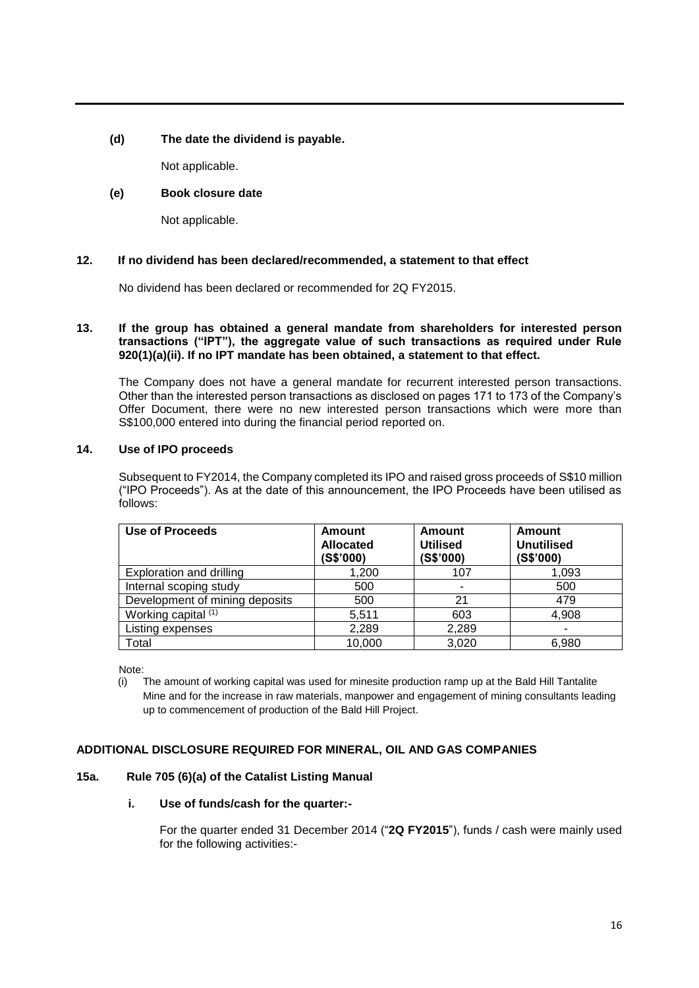## **(d) The date the dividend is payable.**

Not applicable.

## **(e) Book closure date**

Not applicable.

## **12. If no dividend has been declared/recommended, a statement to that effect**

No dividend has been declared or recommended for 2Q FY2015.

### **13. If the group has obtained a general mandate from shareholders for interested person transactions ("IPT"), the aggregate value of such transactions as required under Rule 920(1)(a)(ii). If no IPT mandate has been obtained, a statement to that effect.**

The Company does not have a general mandate for recurrent interested person transactions. Other than the interested person transactions as disclosed on pages 171 to 173 of the Company's Offer Document, there were no new interested person transactions which were more than S\$100,000 entered into during the financial period reported on.

## **14. Use of IPO proceeds**

Subsequent to FY2014, the Company completed its IPO and raised gross proceeds of S\$10 million ("IPO Proceeds"). As at the date of this announcement, the IPO Proceeds have been utilised as follows:

| Use of Proceeds                | <b>Amount</b><br><b>Allocated</b><br>(S\$'000) | Amount<br><b>Utilised</b><br>(S\$'000) | Amount<br><b>Unutilised</b><br>(S\$'000) |
|--------------------------------|------------------------------------------------|----------------------------------------|------------------------------------------|
| Exploration and drilling       | 1,200                                          | 107                                    | 1.093                                    |
| Internal scoping study         | 500                                            |                                        | 500                                      |
| Development of mining deposits | 500                                            | 21                                     | 479                                      |
| Working capital (1)            | 5,511                                          | 603                                    | 4,908                                    |
| Listing expenses               | 2,289                                          | 2,289                                  | ۰                                        |
| Total                          | 10,000                                         | 3,020                                  | 6,980                                    |

Note:

(i) The amount of working capital was used for minesite production ramp up at the Bald Hill Tantalite Mine and for the increase in raw materials, manpower and engagement of mining consultants leading up to commencement of production of the Bald Hill Project.

## **ADDITIONAL DISCLOSURE REQUIRED FOR MINERAL, OIL AND GAS COMPANIES**

## **15a. Rule 705 (6)(a) of the Catalist Listing Manual**

## **i. Use of funds/cash for the quarter:-**

For the quarter ended 31 December 2014 ("**2Q FY2015**"), funds / cash were mainly used for the following activities:-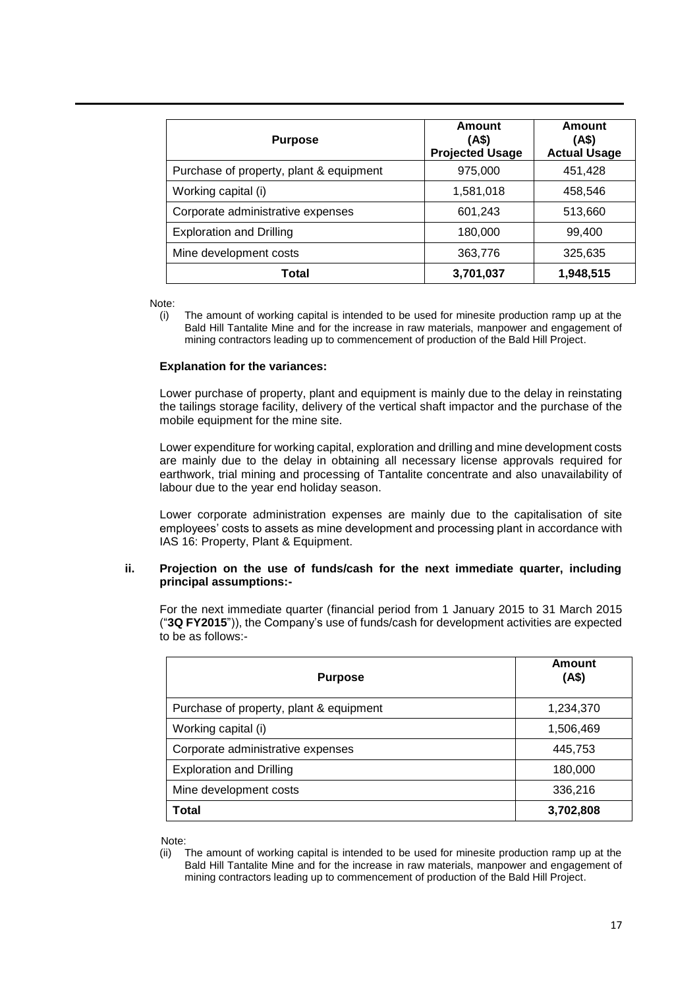| <b>Purpose</b>                          | Amount<br>(A\$)<br><b>Projected Usage</b> | Amount<br>(4\$)<br><b>Actual Usage</b> |
|-----------------------------------------|-------------------------------------------|----------------------------------------|
| Purchase of property, plant & equipment | 975,000                                   | 451,428                                |
| Working capital (i)                     | 1,581,018                                 | 458,546                                |
| Corporate administrative expenses       | 601,243                                   | 513,660                                |
| <b>Exploration and Drilling</b>         | 180,000                                   | 99,400                                 |
| Mine development costs                  | 363,776                                   | 325,635                                |
| Total                                   | 3,701,037                                 | 1,948,515                              |

Note:

(i) The amount of working capital is intended to be used for minesite production ramp up at the Bald Hill Tantalite Mine and for the increase in raw materials, manpower and engagement of mining contractors leading up to commencement of production of the Bald Hill Project.

## **Explanation for the variances:**

Lower purchase of property, plant and equipment is mainly due to the delay in reinstating the tailings storage facility, delivery of the vertical shaft impactor and the purchase of the mobile equipment for the mine site.

Lower expenditure for working capital, exploration and drilling and mine development costs are mainly due to the delay in obtaining all necessary license approvals required for earthwork, trial mining and processing of Tantalite concentrate and also unavailability of labour due to the year end holiday season.

Lower corporate administration expenses are mainly due to the capitalisation of site employees' costs to assets as mine development and processing plant in accordance with IAS 16: Property, Plant & Equipment.

### **ii. Projection on the use of funds/cash for the next immediate quarter, including principal assumptions:-**

For the next immediate quarter (financial period from 1 January 2015 to 31 March 2015 ("**3Q FY2015**")), the Company's use of funds/cash for development activities are expected to be as follows:-

| <b>Purpose</b>                          | Amount<br>(AS) |
|-----------------------------------------|----------------|
| Purchase of property, plant & equipment | 1,234,370      |
| Working capital (i)                     | 1,506,469      |
| Corporate administrative expenses       | 445,753        |
| <b>Exploration and Drilling</b>         | 180,000        |
| Mine development costs                  | 336,216        |
| Total                                   | 3,702,808      |

Note:

<sup>(</sup>ii) The amount of working capital is intended to be used for minesite production ramp up at the Bald Hill Tantalite Mine and for the increase in raw materials, manpower and engagement of mining contractors leading up to commencement of production of the Bald Hill Project.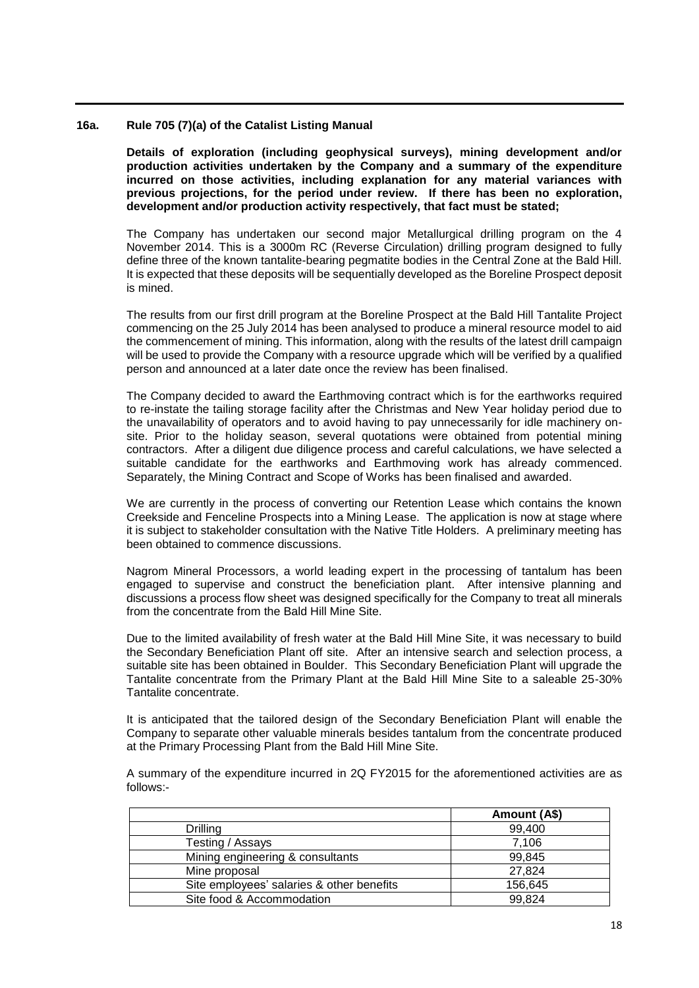### **16a. Rule 705 (7)(a) of the Catalist Listing Manual**

**Details of exploration (including geophysical surveys), mining development and/or production activities undertaken by the Company and a summary of the expenditure incurred on those activities, including explanation for any material variances with previous projections, for the period under review. If there has been no exploration, development and/or production activity respectively, that fact must be stated;**

The Company has undertaken our second major Metallurgical drilling program on the 4 November 2014. This is a 3000m RC (Reverse Circulation) drilling program designed to fully define three of the known tantalite-bearing pegmatite bodies in the Central Zone at the Bald Hill. It is expected that these deposits will be sequentially developed as the Boreline Prospect deposit is mined.

The results from our first drill program at the Boreline Prospect at the Bald Hill Tantalite Project commencing on the 25 July 2014 has been analysed to produce a mineral resource model to aid the commencement of mining. This information, along with the results of the latest drill campaign will be used to provide the Company with a resource upgrade which will be verified by a qualified person and announced at a later date once the review has been finalised.

The Company decided to award the Earthmoving contract which is for the earthworks required to re-instate the tailing storage facility after the Christmas and New Year holiday period due to the unavailability of operators and to avoid having to pay unnecessarily for idle machinery onsite. Prior to the holiday season, several quotations were obtained from potential mining contractors. After a diligent due diligence process and careful calculations, we have selected a suitable candidate for the earthworks and Earthmoving work has already commenced. Separately, the Mining Contract and Scope of Works has been finalised and awarded.

We are currently in the process of converting our Retention Lease which contains the known Creekside and Fenceline Prospects into a Mining Lease. The application is now at stage where it is subject to stakeholder consultation with the Native Title Holders. A preliminary meeting has been obtained to commence discussions.

Nagrom Mineral Processors, a world leading expert in the processing of tantalum has been engaged to supervise and construct the beneficiation plant. After intensive planning and discussions a process flow sheet was designed specifically for the Company to treat all minerals from the concentrate from the Bald Hill Mine Site.

Due to the limited availability of fresh water at the Bald Hill Mine Site, it was necessary to build the Secondary Beneficiation Plant off site. After an intensive search and selection process, a suitable site has been obtained in Boulder. This Secondary Beneficiation Plant will upgrade the Tantalite concentrate from the Primary Plant at the Bald Hill Mine Site to a saleable 25-30% Tantalite concentrate.

It is anticipated that the tailored design of the Secondary Beneficiation Plant will enable the Company to separate other valuable minerals besides tantalum from the concentrate produced at the Primary Processing Plant from the Bald Hill Mine Site.

A summary of the expenditure incurred in 2Q FY2015 for the aforementioned activities are as follows:-

|                                           | Amount (A\$) |
|-------------------------------------------|--------------|
| Drilling                                  | 99,400       |
| Testing / Assays                          | 7.106        |
| Mining engineering & consultants          | 99.845       |
| Mine proposal                             | 27,824       |
| Site employees' salaries & other benefits | 156,645      |
| Site food & Accommodation                 | 99,824       |